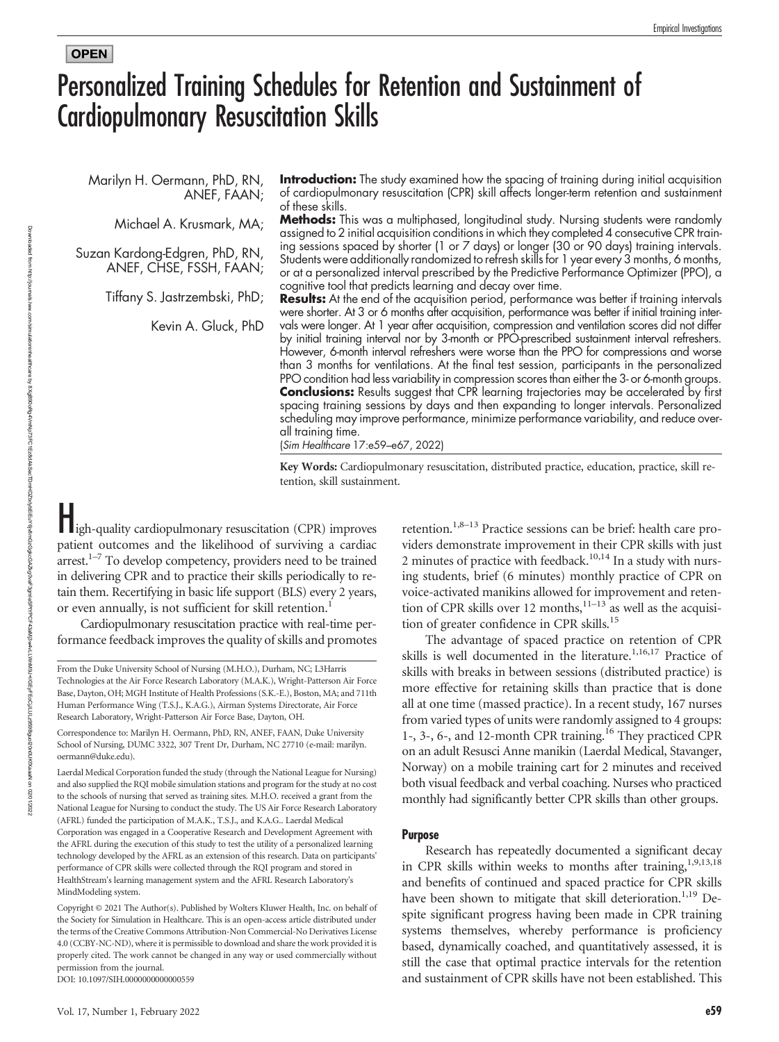### **OPEN**

# Personalized Training Schedules for Retention and Sustainment of Cardiopulmonary Resuscitation Skills

Marilyn H. Oermann, PhD, RN, ANEF, FAAN;

Michael A. Krusmark, MA;

Suzan Kardong-Edgren, PhD, RN, ANEF, CHSE, FSSH, FAAN;

Tiffany S. Jastrzembski, PhD;

Kevin A. Gluck, PhD

Introduction: The study examined how the spacing of training during initial acquisition of cardiopulmonary resuscitation (CPR) skill affects longer-term retention and sustainment of these skills.

Methods: This was a multiphased, longitudinal study. Nursing students were randomly assigned to 2 initial acquisition conditions in which they completed 4 consecutive CPR training sessions spaced by shorter (1 or 7 days) or longer (30 or 90 days) training intervals. Students were additionally randomized to refresh skills for 1 year every 3 months, 6 months, or at a personalized interval prescribed by the Predictive Performance Optimizer (PPO), a cognitive tool that predicts learning and decay over time.

Results: At the end of the acquisition period, performance was better if training intervals were shorter. At 3 or 6 months after acquisition, performance was better if initial training intervals were longer. At 1 year after acquisition, compression and ventilation scores did not differ by initial training interval nor by 3-month or PPO-prescribed sustainment interval refreshers. However, 6-month interval refreshers were worse than the PPO for compressions and worse than 3 months for ventilations. At the final test session, participants in the personalized PPO condition had less variability in compression scores than either the 3- or 6-month groups. **Conclusions:** Results suggest that CPR learning trajectories may be accelerated by first spacing training sessions by days and then expanding to longer intervals. Personalized scheduling may improve performance, minimize performance variability, and reduce overall training time.

(Sim Healthcare 17:e59–e67, 2022)

Key Words: Cardiopulmonary resuscitation, distributed practice, education, practice, skill retention, skill sustainment.

High-quality cardiopulmonary resuscitation (CPR) improves patient outcomes and the likelihood of surviving a cardiac arrest. $1-7$  To develop competency, providers need to be trained in delivering CPR and to practice their skills periodically to retain them. Recertifying in basic life support (BLS) every 2 years, or even annually, is not sufficient for skill retention.<sup>1</sup>

Cardiopulmonary resuscitation practice with real-time performance feedback improves the quality of skills and promotes

DOI: 10.1097/SIH.0000000000000559

retention.<sup>1,8–13</sup> Practice sessions can be brief: health care providers demonstrate improvement in their CPR skills with just 2 minutes of practice with feedback.<sup>10,14</sup> In a study with nursing students, brief (6 minutes) monthly practice of CPR on voice-activated manikins allowed for improvement and retention of CPR skills over 12 months,<sup>11–13</sup> as well as the acquisition of greater confidence in CPR skills.<sup>15</sup>

The advantage of spaced practice on retention of CPR skills is well documented in the literature.<sup>1,16,17</sup> Practice of skills with breaks in between sessions (distributed practice) is more effective for retaining skills than practice that is done all at one time (massed practice). In a recent study, 167 nurses from varied types of units were randomly assigned to 4 groups: 1-, 3-, 6-, and 12-month CPR training.16 They practiced CPR on an adult Resusci Anne manikin (Laerdal Medical, Stavanger, Norway) on a mobile training cart for 2 minutes and received both visual feedback and verbal coaching. Nurses who practiced monthly had significantly better CPR skills than other groups.

### Purpose

Research has repeatedly documented a significant decay in CPR skills within weeks to months after training,<sup>1,9,13,18</sup> and benefits of continued and spaced practice for CPR skills have been shown to mitigate that skill deterioration.<sup>1,19</sup> Despite significant progress having been made in CPR training systems themselves, whereby performance is proficiency based, dynamically coached, and quantitatively assessed, it is still the case that optimal practice intervals for the retention and sustainment of CPR skills have not been established. This

From the Duke University School of Nursing (M.H.O.), Durham, NC; L3Harris Technologies at the Air Force Research Laboratory (M.A.K.), Wright-Patterson Air Force Base, Dayton, OH; MGH Institute of Health Professions (S.K.-E.), Boston, MA; and 711th Human Performance Wing (T.S.J., K.A.G.), Airman Systems Directorate, Air Force Research Laboratory, Wright-Patterson Air Force Base, Dayton, OH.

Correspondence to: Marilyn H. Oermann, PhD, RN, ANEF, FAAN, Duke University School of Nursing, DUMC 3322, 307 Trent Dr, Durham, NC 27710 (e-mail: [marilyn.](mailto: marilyn.oermann@duke.edu) [oermann@duke.edu](mailto: marilyn.oermann@duke.edu)).

Laerdal Medical Corporation funded the study (through the National League for Nursing) and also supplied the RQI mobile simulation stations and program for the study at no cost to the schools of nursing that served as training sites. M.H.O. received a grant from the National League for Nursing to conduct the study. The US Air Force Research Laboratory (AFRL) funded the participation of M.A.K., T.S.J., and K.A.G.. Laerdal Medical Corporation was engaged in a Cooperative Research and Development Agreement with the AFRL during the execution of this study to test the utility of a personalized learning technology developed by the AFRL as an extension of this research. Data on participants' performance of CPR skills were collected through the RQI program and stored in HealthStream's learning management system and the AFRL Research Laboratory's MindModeling system.

Copyright © 2021 The Author(s). Published by Wolters Kluwer Health, Inc. on behalf of the Society for Simulation in Healthcare. This is an open-access article distributed under the terms of the [Creative Commons Attribution-Non Commercial-No Derivatives License](http://creativecommons.org/licenses/by-nc-nd/4.0/) [4.0 \(CCBY-NC-ND\),](http://creativecommons.org/licenses/by-nc-nd/4.0/) where it is permissible to download and share the work provided it is properly cited. The work cannot be changed in any way or used commercially without permission from the journal.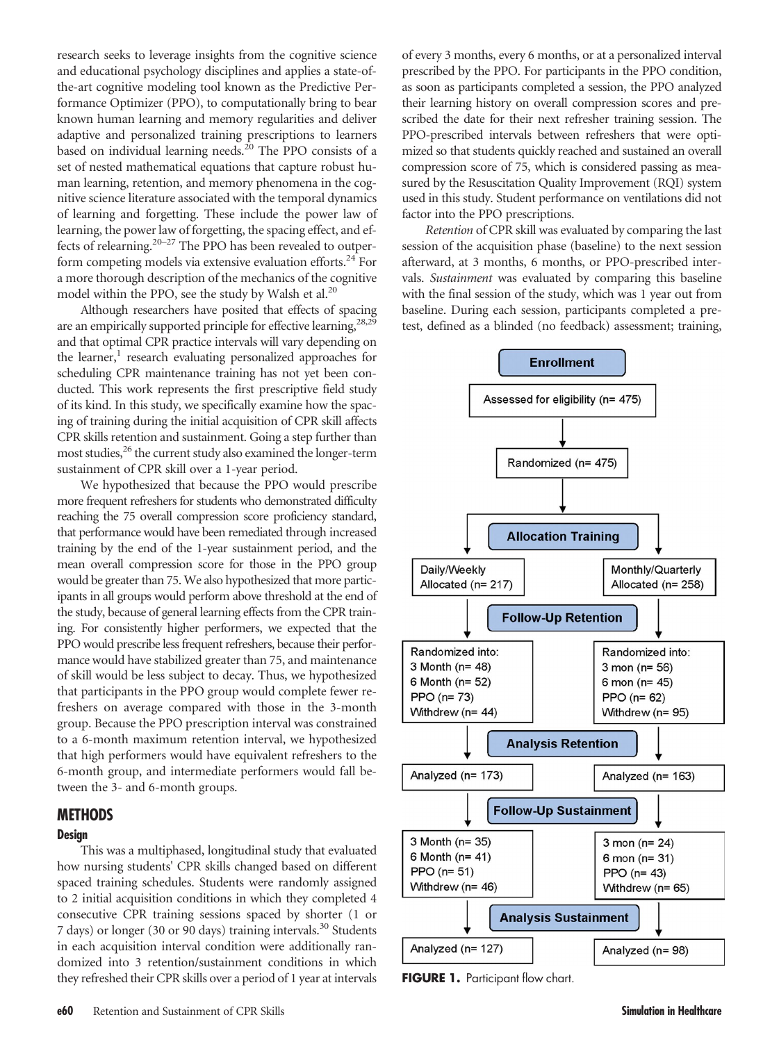research seeks to leverage insights from the cognitive science and educational psychology disciplines and applies a state-ofthe-art cognitive modeling tool known as the Predictive Performance Optimizer (PPO), to computationally bring to bear known human learning and memory regularities and deliver adaptive and personalized training prescriptions to learners based on individual learning needs. $^{20}$  The PPO consists of a set of nested mathematical equations that capture robust human learning, retention, and memory phenomena in the cognitive science literature associated with the temporal dynamics of learning and forgetting. These include the power law of learning, the power law of forgetting, the spacing effect, and effects of relearning.20–<sup>27</sup> The PPO has been revealed to outperform competing models via extensive evaluation efforts.<sup>24</sup> For a more thorough description of the mechanics of the cognitive model within the PPO, see the study by Walsh et al.<sup>20</sup>

Although researchers have posited that effects of spacing are an empirically supported principle for effective learning,<sup>28,29</sup> and that optimal CPR practice intervals will vary depending on the learner, $<sup>1</sup>$  research evaluating personalized approaches for</sup> scheduling CPR maintenance training has not yet been conducted. This work represents the first prescriptive field study of its kind. In this study, we specifically examine how the spacing of training during the initial acquisition of CPR skill affects CPR skills retention and sustainment. Going a step further than most studies,<sup>26</sup> the current study also examined the longer-term sustainment of CPR skill over a 1-year period.

We hypothesized that because the PPO would prescribe more frequent refreshers for students who demonstrated difficulty reaching the 75 overall compression score proficiency standard, that performance would have been remediated through increased training by the end of the 1-year sustainment period, and the mean overall compression score for those in the PPO group would be greater than 75. We also hypothesized that more participants in all groups would perform above threshold at the end of the study, because of general learning effects from the CPR training. For consistently higher performers, we expected that the PPO would prescribe less frequent refreshers, because their performance would have stabilized greater than 75, and maintenance of skill would be less subject to decay. Thus, we hypothesized that participants in the PPO group would complete fewer refreshers on average compared with those in the 3-month group. Because the PPO prescription interval was constrained to a 6-month maximum retention interval, we hypothesized that high performers would have equivalent refreshers to the 6-month group, and intermediate performers would fall between the 3- and 6-month groups.

# **METHODS**

### Design

This was a multiphased, longitudinal study that evaluated how nursing students' CPR skills changed based on different spaced training schedules. Students were randomly assigned to 2 initial acquisition conditions in which they completed 4 consecutive CPR training sessions spaced by shorter (1 or 7 days) or longer (30 or 90 days) training intervals.<sup>30</sup> Students in each acquisition interval condition were additionally randomized into 3 retention/sustainment conditions in which they refreshed their CPR skills over a period of 1 year at intervals of every 3 months, every 6 months, or at a personalized interval prescribed by the PPO. For participants in the PPO condition, as soon as participants completed a session, the PPO analyzed their learning history on overall compression scores and prescribed the date for their next refresher training session. The PPO-prescribed intervals between refreshers that were optimized so that students quickly reached and sustained an overall compression score of 75, which is considered passing as measured by the Resuscitation Quality Improvement (RQI) system used in this study. Student performance on ventilations did not factor into the PPO prescriptions.

Retention of CPR skill was evaluated by comparing the last session of the acquisition phase (baseline) to the next session afterward, at 3 months, 6 months, or PPO-prescribed intervals. Sustainment was evaluated by comparing this baseline with the final session of the study, which was 1 year out from baseline. During each session, participants completed a pretest, defined as a blinded (no feedback) assessment; training,



FIGURE 1. Participant flow chart.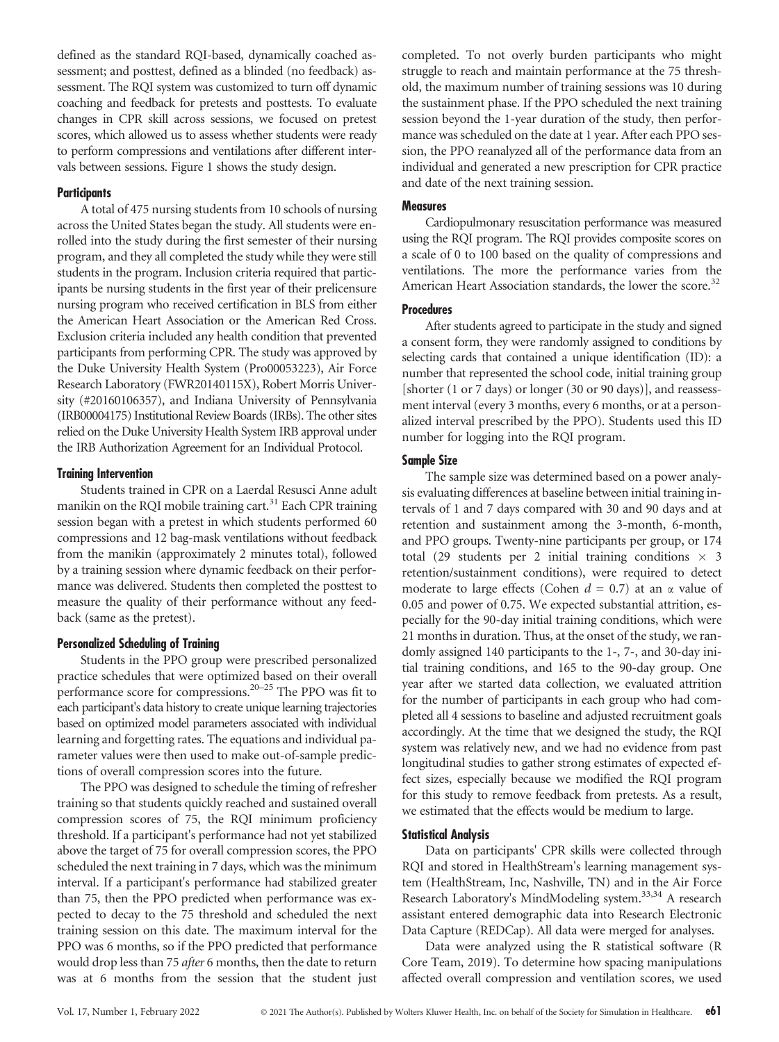defined as the standard RQI-based, dynamically coached assessment; and posttest, defined as a blinded (no feedback) assessment. The RQI system was customized to turn off dynamic coaching and feedback for pretests and posttests. To evaluate changes in CPR skill across sessions, we focused on pretest scores, which allowed us to assess whether students were ready to perform compressions and ventilations after different intervals between sessions. Figure 1 shows the study design.

### **Participants**

A total of 475 nursing students from 10 schools of nursing across the United States began the study. All students were enrolled into the study during the first semester of their nursing program, and they all completed the study while they were still students in the program. Inclusion criteria required that participants be nursing students in the first year of their prelicensure nursing program who received certification in BLS from either the American Heart Association or the American Red Cross. Exclusion criteria included any health condition that prevented participants from performing CPR. The study was approved by the Duke University Health System (Pro00053223), Air Force Research Laboratory (FWR20140115X), Robert Morris University (#20160106357), and Indiana University of Pennsylvania (IRB00004175) Institutional Review Boards (IRBs). The other sites relied on the Duke University Health System IRB approval under the IRB Authorization Agreement for an Individual Protocol.

### Training Intervention

Students trained in CPR on a Laerdal Resusci Anne adult manikin on the RQI mobile training cart. $31$  Each CPR training session began with a pretest in which students performed 60 compressions and 12 bag-mask ventilations without feedback from the manikin (approximately 2 minutes total), followed by a training session where dynamic feedback on their performance was delivered. Students then completed the posttest to measure the quality of their performance without any feedback (same as the pretest).

### Personalized Scheduling of Training

Students in the PPO group were prescribed personalized practice schedules that were optimized based on their overall performance score for compressions.20–<sup>25</sup> The PPO was fit to each participant's data history to create unique learning trajectories based on optimized model parameters associated with individual learning and forgetting rates. The equations and individual parameter values were then used to make out-of-sample predictions of overall compression scores into the future.

The PPO was designed to schedule the timing of refresher training so that students quickly reached and sustained overall compression scores of 75, the RQI minimum proficiency threshold. If a participant's performance had not yet stabilized above the target of 75 for overall compression scores, the PPO scheduled the next training in 7 days, which was the minimum interval. If a participant's performance had stabilized greater than 75, then the PPO predicted when performance was expected to decay to the 75 threshold and scheduled the next training session on this date. The maximum interval for the PPO was 6 months, so if the PPO predicted that performance would drop less than 75 after 6 months, then the date to return was at 6 months from the session that the student just

completed. To not overly burden participants who might struggle to reach and maintain performance at the 75 threshold, the maximum number of training sessions was 10 during the sustainment phase. If the PPO scheduled the next training session beyond the 1-year duration of the study, then performance was scheduled on the date at 1 year. After each PPO session, the PPO reanalyzed all of the performance data from an individual and generated a new prescription for CPR practice and date of the next training session.

### **Measures**

Cardiopulmonary resuscitation performance was measured using the RQI program. The RQI provides composite scores on a scale of 0 to 100 based on the quality of compressions and ventilations. The more the performance varies from the American Heart Association standards, the lower the score.<sup>32</sup>

### **Procedures**

After students agreed to participate in the study and signed a consent form, they were randomly assigned to conditions by selecting cards that contained a unique identification (ID): a number that represented the school code, initial training group [shorter (1 or 7 days) or longer (30 or 90 days)], and reassessment interval (every 3 months, every 6 months, or at a personalized interval prescribed by the PPO). Students used this ID number for logging into the RQI program.

### Sample Size

The sample size was determined based on a power analysis evaluating differences at baseline between initial training intervals of 1 and 7 days compared with 30 and 90 days and at retention and sustainment among the 3-month, 6-month, and PPO groups. Twenty-nine participants per group, or 174 total (29 students per 2 initial training conditions  $\times$  3 retention/sustainment conditions), were required to detect moderate to large effects (Cohen  $d = 0.7$ ) at an  $\alpha$  value of 0.05 and power of 0.75. We expected substantial attrition, especially for the 90-day initial training conditions, which were 21 months in duration. Thus, at the onset of the study, we randomly assigned 140 participants to the 1-, 7-, and 30-day initial training conditions, and 165 to the 90-day group. One year after we started data collection, we evaluated attrition for the number of participants in each group who had completed all 4 sessions to baseline and adjusted recruitment goals accordingly. At the time that we designed the study, the RQI system was relatively new, and we had no evidence from past longitudinal studies to gather strong estimates of expected effect sizes, especially because we modified the RQI program for this study to remove feedback from pretests. As a result, we estimated that the effects would be medium to large.

### Statistical Analysis

Data on participants' CPR skills were collected through RQI and stored in HealthStream's learning management system (HealthStream, Inc, Nashville, TN) and in the Air Force Research Laboratory's MindModeling system.<sup>33,34</sup> A research assistant entered demographic data into Research Electronic Data Capture (REDCap). All data were merged for analyses.

Data were analyzed using the R statistical software (R Core Team, 2019). To determine how spacing manipulations affected overall compression and ventilation scores, we used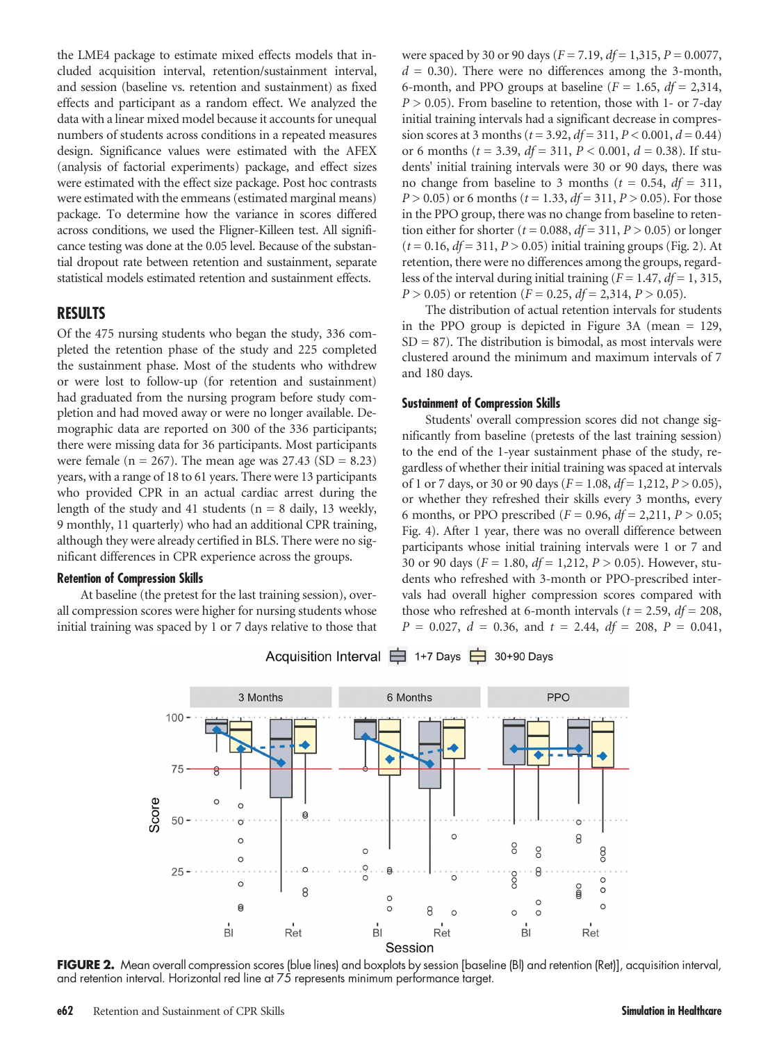the LME4 package to estimate mixed effects models that included acquisition interval, retention/sustainment interval, and session (baseline vs. retention and sustainment) as fixed effects and participant as a random effect. We analyzed the data with a linear mixed model because it accounts for unequal numbers of students across conditions in a repeated measures design. Significance values were estimated with the AFEX (analysis of factorial experiments) package, and effect sizes were estimated with the effect size package. Post hoc contrasts were estimated with the emmeans (estimated marginal means) package. To determine how the variance in scores differed across conditions, we used the Fligner-Killeen test. All significance testing was done at the 0.05 level. Because of the substantial dropout rate between retention and sustainment, separate statistical models estimated retention and sustainment effects.

# RESULTS

Of the 475 nursing students who began the study, 336 completed the retention phase of the study and 225 completed the sustainment phase. Most of the students who withdrew or were lost to follow-up (for retention and sustainment) had graduated from the nursing program before study completion and had moved away or were no longer available. Demographic data are reported on 300 of the 336 participants; there were missing data for 36 participants. Most participants were female ( $n = 267$ ). The mean age was 27.43 (SD = 8.23) years, with a range of 18 to 61 years. There were 13 participants who provided CPR in an actual cardiac arrest during the length of the study and 41 students ( $n = 8$  daily, 13 weekly, 9 monthly, 11 quarterly) who had an additional CPR training, although they were already certified in BLS. There were no significant differences in CPR experience across the groups.

### Retention of Compression Skills

At baseline (the pretest for the last training session), overall compression scores were higher for nursing students whose initial training was spaced by 1 or 7 days relative to those that were spaced by 30 or 90 days ( $F = 7.19$ ,  $df = 1,315$ ,  $P = 0.0077$ ,  $d = 0.30$ ). There were no differences among the 3-month, 6-month, and PPO groups at baseline  $(F = 1.65, df = 2.314,$  $P > 0.05$ ). From baseline to retention, those with 1- or 7-day initial training intervals had a significant decrease in compression scores at 3 months ( $t = 3.92$ ,  $df = 311$ ,  $P < 0.001$ ,  $d = 0.44$ ) or 6 months ( $t = 3.39$ ,  $df = 311$ ,  $P < 0.001$ ,  $d = 0.38$ ). If students' initial training intervals were 30 or 90 days, there was no change from baseline to 3 months ( $t = 0.54$ ,  $df = 311$ ,  $P > 0.05$ ) or 6 months ( $t = 1.33$ ,  $df = 311$ ,  $P > 0.05$ ). For those in the PPO group, there was no change from baseline to retention either for shorter ( $t = 0.088$ ,  $df = 311$ ,  $P > 0.05$ ) or longer  $(t = 0.16, df = 311, P > 0.05)$  initial training groups (Fig. 2). At retention, there were no differences among the groups, regardless of the interval during initial training ( $F = 1.47$ ,  $df = 1$ , 315,  $P > 0.05$ ) or retention ( $F = 0.25$ ,  $df = 2,314$ ,  $P > 0.05$ ).

The distribution of actual retention intervals for students in the PPO group is depicted in Figure 3A (mean = 129,  $SD = 87$ ). The distribution is bimodal, as most intervals were clustered around the minimum and maximum intervals of 7 and 180 days.

### Sustainment of Compression Skills

Students' overall compression scores did not change significantly from baseline (pretests of the last training session) to the end of the 1-year sustainment phase of the study, regardless of whether their initial training was spaced at intervals of 1 or 7 days, or 30 or 90 days ( $F = 1.08$ ,  $df = 1.212$ ,  $P > 0.05$ ), or whether they refreshed their skills every 3 months, every 6 months, or PPO prescribed ( $F = 0.96$ ,  $df = 2,211$ ,  $P > 0.05$ ; Fig. 4). After 1 year, there was no overall difference between participants whose initial training intervals were 1 or 7 and 30 or 90 days ( $F = 1.80$ ,  $df = 1,212$ ,  $P > 0.05$ ). However, students who refreshed with 3-month or PPO-prescribed intervals had overall higher compression scores compared with those who refreshed at 6-month intervals ( $t = 2.59$ ,  $df = 208$ ,  $P = 0.027$ ,  $d = 0.36$ , and  $t = 2.44$ ,  $df = 208$ ,  $P = 0.041$ ,



Acquisition Interval **□** 1+7 Days □ 30+90 Days

FIGURE 2. Mean overall compression scores (blue lines) and boxplots by session [baseline (BI) and retention (Ret)], acquisition interval, and retention interval. Horizontal red line at 75 represents minimum performance target.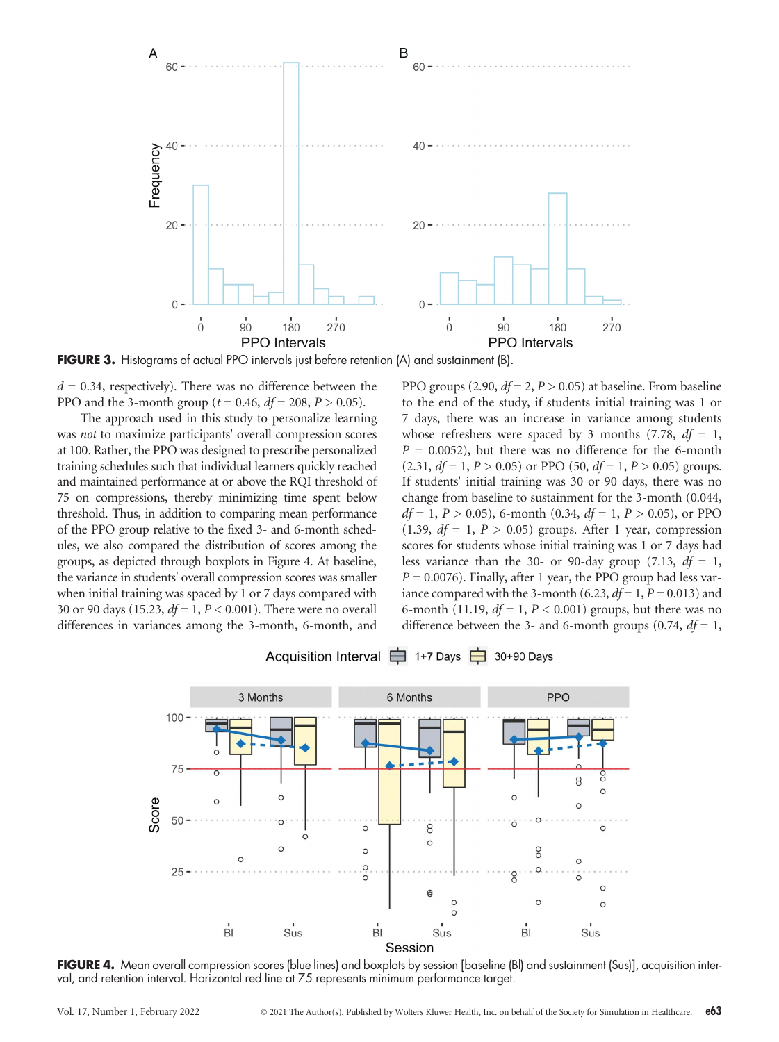

FIGURE 3. Histograms of actual PPO intervals just before retention (A) and sustainment (B).

 $d = 0.34$ , respectively). There was no difference between the PPO and the 3-month group ( $t = 0.46$ ,  $df = 208$ ,  $P > 0.05$ ).

The approach used in this study to personalize learning was not to maximize participants' overall compression scores at 100. Rather, the PPO was designed to prescribe personalized training schedules such that individual learners quickly reached and maintained performance at or above the RQI threshold of 75 on compressions, thereby minimizing time spent below threshold. Thus, in addition to comparing mean performance of the PPO group relative to the fixed 3- and 6-month schedules, we also compared the distribution of scores among the groups, as depicted through boxplots in Figure 4. At baseline, the variance in students' overall compression scores was smaller when initial training was spaced by 1 or 7 days compared with 30 or 90 days (15.23,  $df = 1, P < 0.001$ ). There were no overall differences in variances among the 3-month, 6-month, and

PPO groups (2.90,  $df = 2$ ,  $P > 0.05$ ) at baseline. From baseline to the end of the study, if students initial training was 1 or 7 days, there was an increase in variance among students whose refreshers were spaced by 3 months (7.78,  $df = 1$ ,  $P = 0.0052$ , but there was no difference for the 6-month  $(2.31, df = 1, P > 0.05)$  or PPO  $(50, df = 1, P > 0.05)$  groups. If students' initial training was 30 or 90 days, there was no change from baseline to sustainment for the 3-month (0.044,  $df = 1, P > 0.05$ , 6-month (0.34,  $df = 1, P > 0.05$ ), or PPO (1.39,  $df = 1$ ,  $P > 0.05$ ) groups. After 1 year, compression scores for students whose initial training was 1 or 7 days had less variance than the 30- or 90-day group (7.13,  $df = 1$ ,  $P = 0.0076$ . Finally, after 1 year, the PPO group had less variance compared with the 3-month (6.23,  $df = 1$ ,  $P = 0.013$ ) and 6-month (11.19,  $df = 1$ ,  $P < 0.001$ ) groups, but there was no difference between the 3- and 6-month groups (0.74,  $df = 1$ ,



Acquisition Interval **□** 1+7 Days □ 30+90 Days

FIGURE 4. Mean overall compression scores (blue lines) and boxplots by session [baseline (BI) and sustainment (Sus)], acquisition interval, and retention interval. Horizontal red line at 75 represents minimum performance target.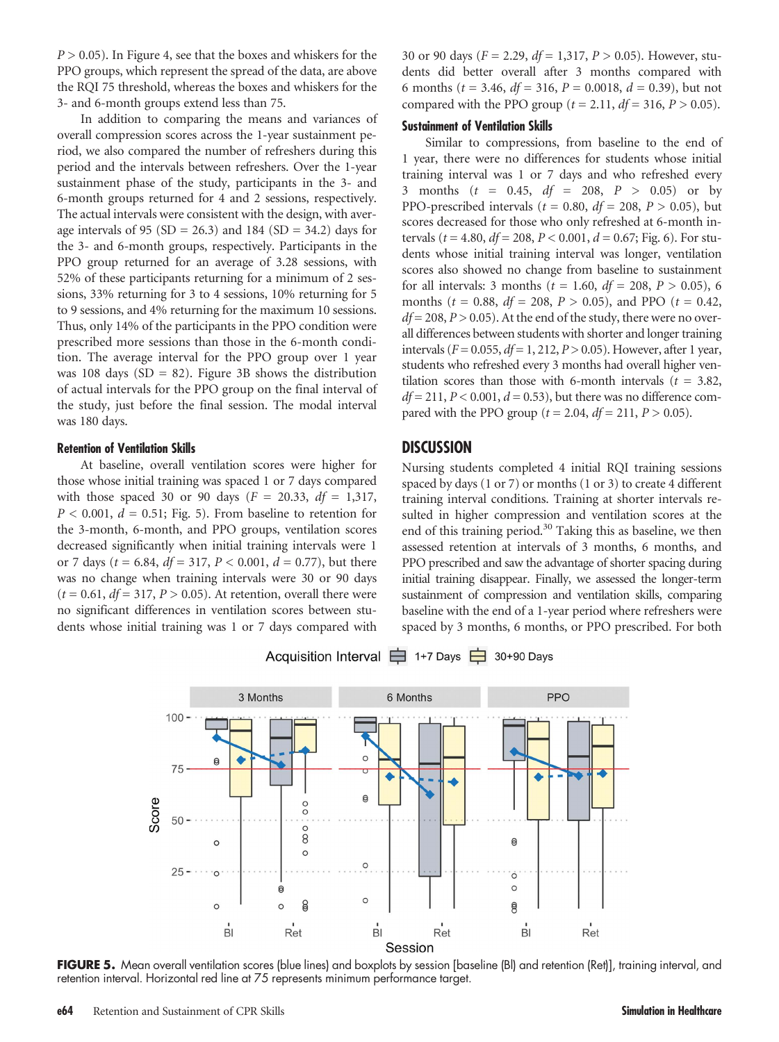$P > 0.05$ ). In Figure 4, see that the boxes and whiskers for the PPO groups, which represent the spread of the data, are above the RQI 75 threshold, whereas the boxes and whiskers for the 3- and 6-month groups extend less than 75.

In addition to comparing the means and variances of overall compression scores across the 1-year sustainment period, we also compared the number of refreshers during this period and the intervals between refreshers. Over the 1-year sustainment phase of the study, participants in the 3- and 6-month groups returned for 4 and 2 sessions, respectively. The actual intervals were consistent with the design, with average intervals of 95 (SD = 26.3) and 184 (SD = 34.2) days for the 3- and 6-month groups, respectively. Participants in the PPO group returned for an average of 3.28 sessions, with 52% of these participants returning for a minimum of 2 sessions, 33% returning for 3 to 4 sessions, 10% returning for 5 to 9 sessions, and 4% returning for the maximum 10 sessions. Thus, only 14% of the participants in the PPO condition were prescribed more sessions than those in the 6-month condition. The average interval for the PPO group over 1 year was 108 days ( $SD = 82$ ). Figure 3B shows the distribution of actual intervals for the PPO group on the final interval of the study, just before the final session. The modal interval was 180 days.

### Retention of Ventilation Skills

At baseline, overall ventilation scores were higher for those whose initial training was spaced 1 or 7 days compared with those spaced 30 or 90 days ( $F = 20.33$ ,  $df = 1,317$ ,  $P < 0.001$ ,  $d = 0.51$ ; Fig. 5). From baseline to retention for the 3-month, 6-month, and PPO groups, ventilation scores decreased significantly when initial training intervals were 1 or 7 days ( $t = 6.84$ ,  $df = 317$ ,  $P < 0.001$ ,  $d = 0.77$ ), but there was no change when training intervals were 30 or 90 days  $(t = 0.61, df = 317, P > 0.05)$ . At retention, overall there were no significant differences in ventilation scores between students whose initial training was 1 or 7 days compared with

30 or 90 days ( $F = 2.29$ ,  $df = 1,317$ ,  $P > 0.05$ ). However, students did better overall after 3 months compared with 6 months ( $t = 3.46$ ,  $df = 316$ ,  $P = 0.0018$ ,  $d = 0.39$ ), but not compared with the PPO group ( $t = 2.11$ ,  $df = 316$ ,  $P > 0.05$ ).

### Sustainment of Ventilation Skills

Similar to compressions, from baseline to the end of 1 year, there were no differences for students whose initial training interval was 1 or 7 days and who refreshed every 3 months  $(t = 0.45, df = 208, P > 0.05)$  or by PPO-prescribed intervals ( $t = 0.80$ ,  $df = 208$ ,  $P > 0.05$ ), but scores decreased for those who only refreshed at 6-month intervals ( $t = 4.80$ ,  $df = 208$ ,  $P < 0.001$ ,  $d = 0.67$ ; Fig. 6). For students whose initial training interval was longer, ventilation scores also showed no change from baseline to sustainment for all intervals: 3 months ( $t = 1.60$ ,  $df = 208$ ,  $P > 0.05$ ), 6 months ( $t = 0.88$ ,  $df = 208$ ,  $P > 0.05$ ), and PPO ( $t = 0.42$ ,  $df = 208$ ,  $P > 0.05$ ). At the end of the study, there were no overall differences between students with shorter and longer training intervals ( $F = 0.055$ ,  $df = 1$ , 212,  $P > 0.05$ ). However, after 1 year, students who refreshed every 3 months had overall higher ventilation scores than those with 6-month intervals  $(t = 3.82,$  $df = 211$ ,  $P < 0.001$ ,  $d = 0.53$ ), but there was no difference compared with the PPO group ( $t = 2.04$ ,  $df = 211$ ,  $P > 0.05$ ).

## **DISCUSSION**

Nursing students completed 4 initial RQI training sessions spaced by days (1 or 7) or months (1 or 3) to create 4 different training interval conditions. Training at shorter intervals resulted in higher compression and ventilation scores at the end of this training period.<sup>30</sup> Taking this as baseline, we then assessed retention at intervals of 3 months, 6 months, and PPO prescribed and saw the advantage of shorter spacing during initial training disappear. Finally, we assessed the longer-term sustainment of compression and ventilation skills, comparing baseline with the end of a 1-year period where refreshers were spaced by 3 months, 6 months, or PPO prescribed. For both



FIGURE 5. Mean overall ventilation scores (blue lines) and boxplots by session [baseline (BI) and retention (Ret)], training interval, and retention interval. Horizontal red line at 75 represents minimum performance target.

Acquisition Interval **□** 1+7 Days □ 30+90 Days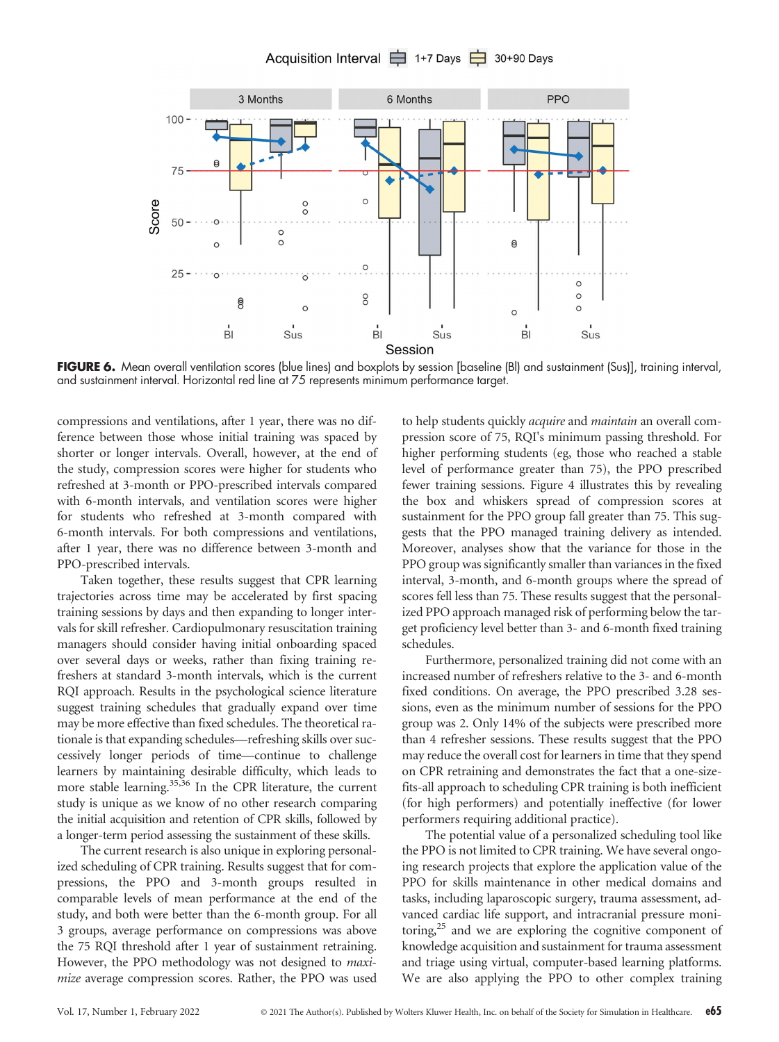# Acquisition Interval **□** 1+7 Days □ 30+90 Days



FIGURE 6. Mean overall ventilation scores (blue lines) and boxplots by session [baseline (Bl) and sustainment (Sus)], training interval, and sustainment interval. Horizontal red line at 75 represents minimum performance target.

compressions and ventilations, after 1 year, there was no difference between those whose initial training was spaced by shorter or longer intervals. Overall, however, at the end of the study, compression scores were higher for students who refreshed at 3-month or PPO-prescribed intervals compared with 6-month intervals, and ventilation scores were higher for students who refreshed at 3-month compared with 6-month intervals. For both compressions and ventilations, after 1 year, there was no difference between 3-month and PPO-prescribed intervals.

Taken together, these results suggest that CPR learning trajectories across time may be accelerated by first spacing training sessions by days and then expanding to longer intervals for skill refresher. Cardiopulmonary resuscitation training managers should consider having initial onboarding spaced over several days or weeks, rather than fixing training refreshers at standard 3-month intervals, which is the current RQI approach. Results in the psychological science literature suggest training schedules that gradually expand over time may be more effective than fixed schedules. The theoretical rationale is that expanding schedules—refreshing skills over successively longer periods of time—continue to challenge learners by maintaining desirable difficulty, which leads to more stable learning.<sup>35,36</sup> In the CPR literature, the current study is unique as we know of no other research comparing the initial acquisition and retention of CPR skills, followed by a longer-term period assessing the sustainment of these skills.

The current research is also unique in exploring personalized scheduling of CPR training. Results suggest that for compressions, the PPO and 3-month groups resulted in comparable levels of mean performance at the end of the study, and both were better than the 6-month group. For all 3 groups, average performance on compressions was above the 75 RQI threshold after 1 year of sustainment retraining. However, the PPO methodology was not designed to maximize average compression scores. Rather, the PPO was used

to help students quickly *acquire* and *maintain* an overall compression score of 75, RQI's minimum passing threshold. For higher performing students (eg, those who reached a stable level of performance greater than 75), the PPO prescribed fewer training sessions. Figure 4 illustrates this by revealing the box and whiskers spread of compression scores at sustainment for the PPO group fall greater than 75. This suggests that the PPO managed training delivery as intended. Moreover, analyses show that the variance for those in the PPO group was significantly smaller than variances in the fixed interval, 3-month, and 6-month groups where the spread of scores fell less than 75. These results suggest that the personalized PPO approach managed risk of performing below the target proficiency level better than 3- and 6-month fixed training schedules.

Furthermore, personalized training did not come with an increased number of refreshers relative to the 3- and 6-month fixed conditions. On average, the PPO prescribed 3.28 sessions, even as the minimum number of sessions for the PPO group was 2. Only 14% of the subjects were prescribed more than 4 refresher sessions. These results suggest that the PPO may reduce the overall cost for learners in time that they spend on CPR retraining and demonstrates the fact that a one-sizefits-all approach to scheduling CPR training is both inefficient (for high performers) and potentially ineffective (for lower performers requiring additional practice).

The potential value of a personalized scheduling tool like the PPO is not limited to CPR training. We have several ongoing research projects that explore the application value of the PPO for skills maintenance in other medical domains and tasks, including laparoscopic surgery, trauma assessment, advanced cardiac life support, and intracranial pressure monitoring,<sup>25</sup> and we are exploring the cognitive component of knowledge acquisition and sustainment for trauma assessment and triage using virtual, computer-based learning platforms. We are also applying the PPO to other complex training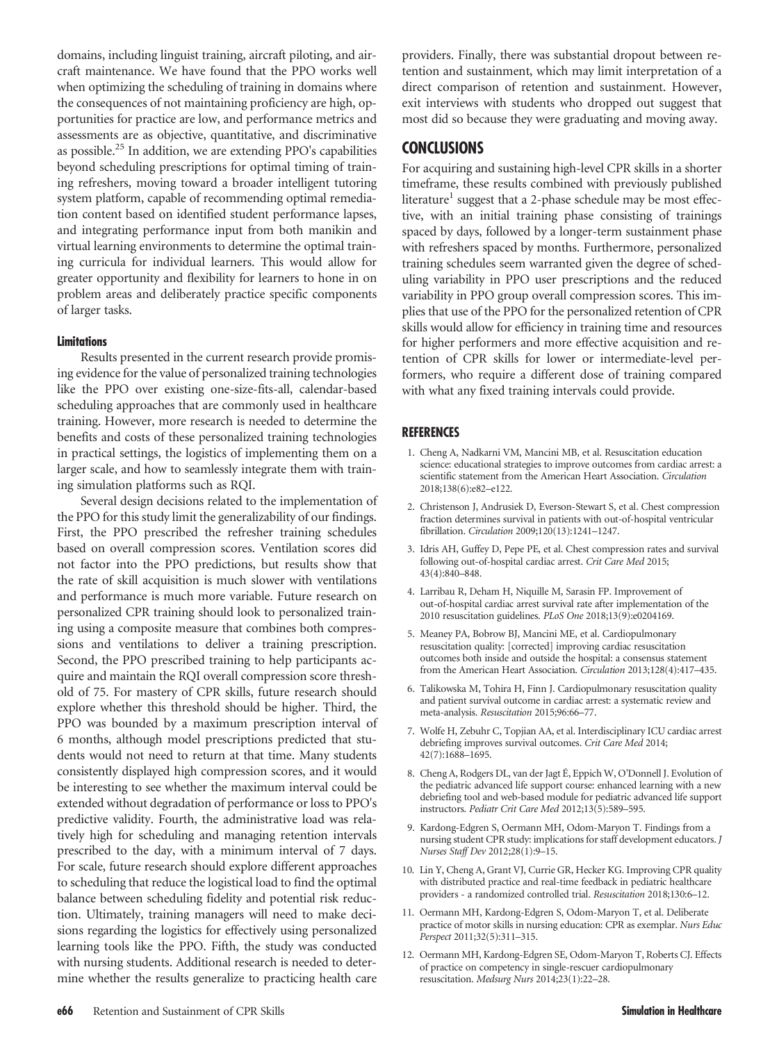domains, including linguist training, aircraft piloting, and aircraft maintenance. We have found that the PPO works well when optimizing the scheduling of training in domains where the consequences of not maintaining proficiency are high, opportunities for practice are low, and performance metrics and assessments are as objective, quantitative, and discriminative as possible.<sup>25</sup> In addition, we are extending PPO's capabilities beyond scheduling prescriptions for optimal timing of training refreshers, moving toward a broader intelligent tutoring system platform, capable of recommending optimal remediation content based on identified student performance lapses, and integrating performance input from both manikin and virtual learning environments to determine the optimal training curricula for individual learners. This would allow for greater opportunity and flexibility for learners to hone in on problem areas and deliberately practice specific components of larger tasks.

### **Limitations**

Results presented in the current research provide promising evidence for the value of personalized training technologies like the PPO over existing one-size-fits-all, calendar-based scheduling approaches that are commonly used in healthcare training. However, more research is needed to determine the benefits and costs of these personalized training technologies in practical settings, the logistics of implementing them on a larger scale, and how to seamlessly integrate them with training simulation platforms such as RQI.

Several design decisions related to the implementation of the PPO for this study limit the generalizability of our findings. First, the PPO prescribed the refresher training schedules based on overall compression scores. Ventilation scores did not factor into the PPO predictions, but results show that the rate of skill acquisition is much slower with ventilations and performance is much more variable. Future research on personalized CPR training should look to personalized training using a composite measure that combines both compressions and ventilations to deliver a training prescription. Second, the PPO prescribed training to help participants acquire and maintain the RQI overall compression score threshold of 75. For mastery of CPR skills, future research should explore whether this threshold should be higher. Third, the PPO was bounded by a maximum prescription interval of 6 months, although model prescriptions predicted that students would not need to return at that time. Many students consistently displayed high compression scores, and it would be interesting to see whether the maximum interval could be extended without degradation of performance or loss to PPO's predictive validity. Fourth, the administrative load was relatively high for scheduling and managing retention intervals prescribed to the day, with a minimum interval of 7 days. For scale, future research should explore different approaches to scheduling that reduce the logistical load to find the optimal balance between scheduling fidelity and potential risk reduction. Ultimately, training managers will need to make decisions regarding the logistics for effectively using personalized learning tools like the PPO. Fifth, the study was conducted with nursing students. Additional research is needed to determine whether the results generalize to practicing health care

providers. Finally, there was substantial dropout between retention and sustainment, which may limit interpretation of a direct comparison of retention and sustainment. However, exit interviews with students who dropped out suggest that most did so because they were graduating and moving away.

## **CONCLUSIONS**

For acquiring and sustaining high-level CPR skills in a shorter timeframe, these results combined with previously published literature<sup>1</sup> suggest that a 2-phase schedule may be most effective, with an initial training phase consisting of trainings spaced by days, followed by a longer-term sustainment phase with refreshers spaced by months. Furthermore, personalized training schedules seem warranted given the degree of scheduling variability in PPO user prescriptions and the reduced variability in PPO group overall compression scores. This implies that use of the PPO for the personalized retention of CPR skills would allow for efficiency in training time and resources for higher performers and more effective acquisition and retention of CPR skills for lower or intermediate-level performers, who require a different dose of training compared with what any fixed training intervals could provide.

### **REFERENCES**

- 1. Cheng A, Nadkarni VM, Mancini MB, et al. Resuscitation education science: educational strategies to improve outcomes from cardiac arrest: a scientific statement from the American Heart Association. Circulation 2018;138(6):e82–e122.
- 2. Christenson J, Andrusiek D, Everson-Stewart S, et al. Chest compression fraction determines survival in patients with out-of-hospital ventricular fibrillation. Circulation 2009;120(13):1241–1247.
- 3. Idris AH, Guffey D, Pepe PE, et al. Chest compression rates and survival following out-of-hospital cardiac arrest. Crit Care Med 2015; 43(4):840–848.
- 4. Larribau R, Deham H, Niquille M, Sarasin FP. Improvement of out-of-hospital cardiac arrest survival rate after implementation of the 2010 resuscitation guidelines. PLoS One 2018;13(9):e0204169.
- 5. Meaney PA, Bobrow BJ, Mancini ME, et al. Cardiopulmonary resuscitation quality: [corrected] improving cardiac resuscitation outcomes both inside and outside the hospital: a consensus statement from the American Heart Association. Circulation 2013;128(4):417–435.
- 6. Talikowska M, Tohira H, Finn J. Cardiopulmonary resuscitation quality and patient survival outcome in cardiac arrest: a systematic review and meta-analysis. Resuscitation 2015;96:66–77.
- 7. Wolfe H, Zebuhr C, Topjian AA, et al. Interdisciplinary ICU cardiac arrest debriefing improves survival outcomes. Crit Care Med 2014; 42(7):1688–1695.
- 8. Cheng A, Rodgers DL, van der Jagt É, Eppich W, O'Donnell J. Evolution of the pediatric advanced life support course: enhanced learning with a new debriefing tool and web-based module for pediatric advanced life support instructors. Pediatr Crit Care Med 2012;13(5):589–595.
- 9. Kardong-Edgren S, Oermann MH, Odom-Maryon T. Findings from a nursing student CPR study: implications for staff development educators. J Nurses Staff Dev 2012;28(1):9–15.
- 10. Lin Y, Cheng A, Grant VJ, Currie GR, Hecker KG. Improving CPR quality with distributed practice and real-time feedback in pediatric healthcare providers - a randomized controlled trial. Resuscitation 2018;130:6–12.
- 11. Oermann MH, Kardong-Edgren S, Odom-Maryon T, et al. Deliberate practice of motor skills in nursing education: CPR as exemplar. Nurs Educ Perspect 2011;32(5):311–315.
- 12. Oermann MH, Kardong-Edgren SE, Odom-Maryon T, Roberts CJ. Effects of practice on competency in single-rescuer cardiopulmonary resuscitation. Medsurg Nurs 2014;23(1):22–28.